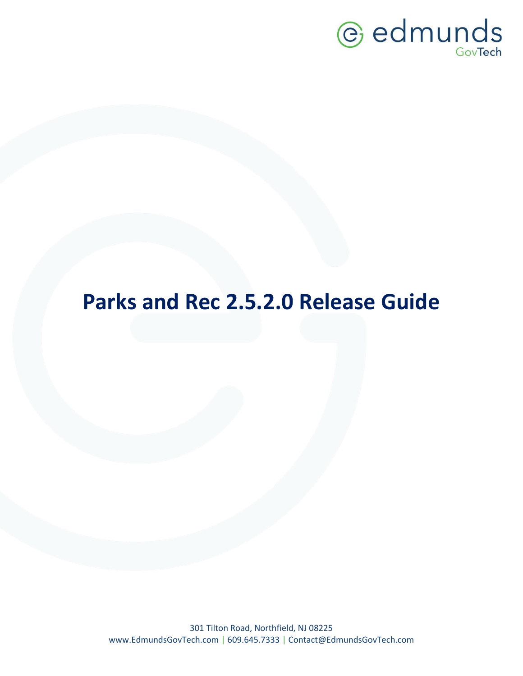

# **Parks and Rec 2.5.2.0 Release Guide**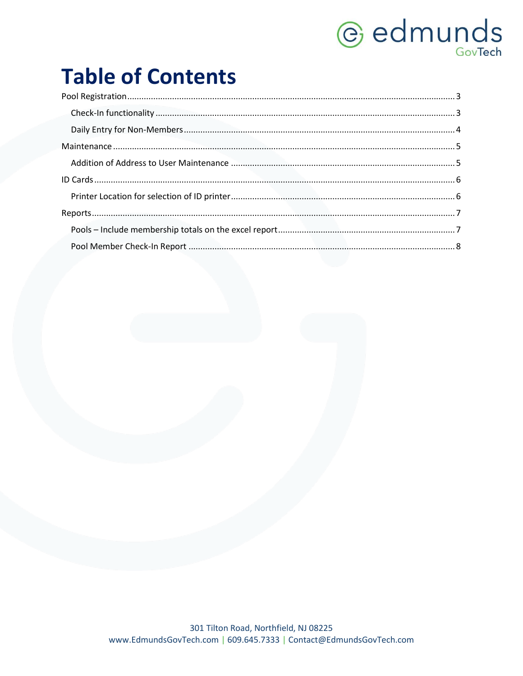# *<u>e* edmunds</u>

# **Table of Contents**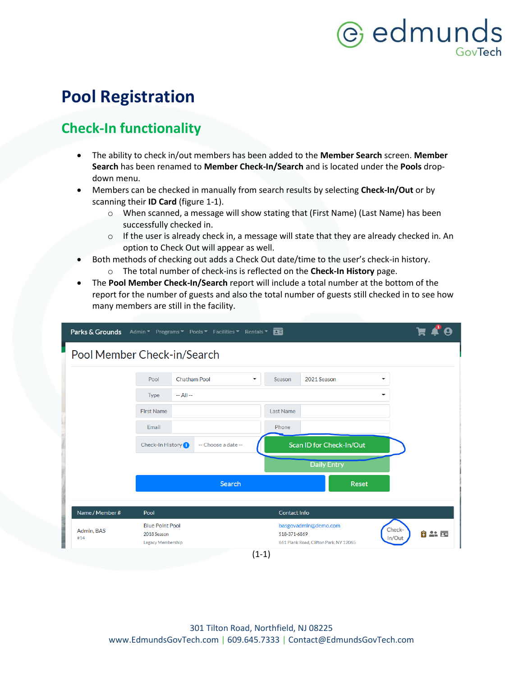## <span id="page-2-0"></span>**Pool Registration**

### <span id="page-2-1"></span>**Check-In functionality**

- The ability to check in/out members has been added to the **Member Search** screen. **Member Search** has been renamed to **Member Check-In/Search** and is located under the **Pools** dropdown menu.
- Members can be checked in manually from search results by selecting **Check-In/Out** or by scanning their **ID Card** (figure 1-1).
	- o When scanned, a message will show stating that (First Name) (Last Name) has been successfully checked in.
	- $\circ$  If the user is already check in, a message will state that they are already checked in. An option to Check Out will appear as well.
- Both methods of checking out adds a Check Out date/time to the user's check-in history.
	- o The total number of check-ins is reflected on the **Check-In History** page.
- The **Pool Member Check-In/Search** report will include a total number at the bottom of the report for the number of guests and also the total number of guests still checked in to see how many members are still in the facility.

|                             |                                                            | Parks & Grounds Admin v Programs v Pools v Facilities v Rentals v <b>DE</b> |                                                                                |                         |
|-----------------------------|------------------------------------------------------------|-----------------------------------------------------------------------------|--------------------------------------------------------------------------------|-------------------------|
| Pool Member Check-in/Search |                                                            |                                                                             |                                                                                |                         |
|                             |                                                            |                                                                             |                                                                                |                         |
|                             | Pool                                                       | <b>Chatham Pool</b><br>▼                                                    | 2021 Season<br>Season                                                          | ▼                       |
|                             | $-$ All $-$<br><b>Type</b>                                 |                                                                             |                                                                                | ÷                       |
|                             | <b>First Name</b>                                          |                                                                             | <b>Last Name</b>                                                               |                         |
|                             | Email                                                      |                                                                             | Phone                                                                          |                         |
|                             | Check-In History <sup>1</sup>                              | -- Choose a date --                                                         | Scan ID for Check-In/Out                                                       |                         |
|                             |                                                            |                                                                             | <b>Daily Entry</b>                                                             |                         |
|                             |                                                            | Search                                                                      | <b>Reset</b>                                                                   |                         |
|                             |                                                            |                                                                             |                                                                                |                         |
| Name / Member #             | Pool                                                       |                                                                             | <b>Contact Info</b>                                                            |                         |
| Admin, BAS<br>#14           | <b>Blue Point Pool</b><br>2018 Season<br>Legacy Membership |                                                                             | basgovadmin@demo.com<br>518-371-6869<br>661 Plank Road, Clifton Park, NY 12065 | Check-<br>白品画<br>In/Out |
|                             |                                                            |                                                                             | $(1-1)$                                                                        |                         |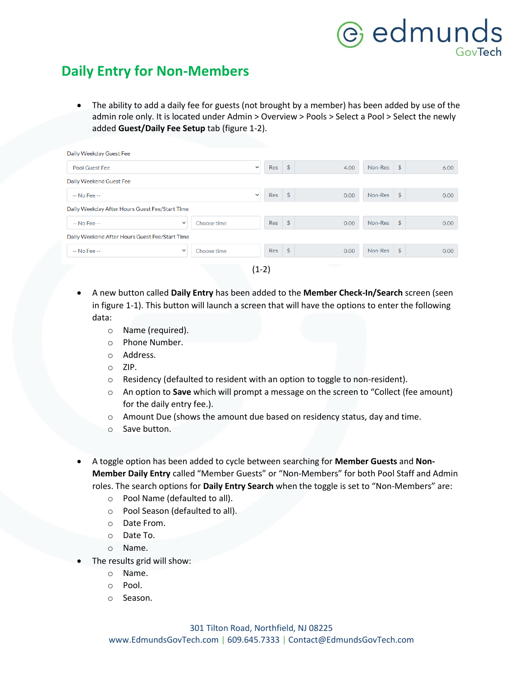#### <span id="page-3-0"></span>**Daily Entry for Non-Members**

• The ability to add a daily fee for guests (not brought by a member) has been added by use of the admin role only. It is located under Admin > Overview > Pools > Select a Pool > Select the newly added **Guest/Daily Fee Setup** tab (figure 1-2).

| Daily Weekday Guest Fee                        |              |             |              |          |               |                    |         |                    |      |
|------------------------------------------------|--------------|-------------|--------------|----------|---------------|--------------------|---------|--------------------|------|
| <b>Pool Guest Fee</b>                          |              |             | $\checkmark$ | Res      | $\frac{4}{5}$ | 4.00               | Non-Res | \$                 | 6.00 |
| Daily Weekend Guest Fee                        |              |             |              |          |               |                    |         |                    |      |
| $-$ No Fee $-$                                 |              |             | $\checkmark$ | $Res$ \$ |               | 0.00               | Non-Res | \$                 | 0.00 |
| Daily Weekday After Hours Guest Fee/Start Time |              |             |              |          |               |                    |         |                    |      |
| $-$ No Fee $-$                                 | $\checkmark$ | Choose time |              | $Res$ \$ |               | 0.00               | Non-Res | \$                 | 0.00 |
| Daily Weekend After Hours Guest Fee/Start Time |              |             |              |          |               |                    |         |                    |      |
| -- No Fee --                                   | $\checkmark$ | Choose time |              | $Res$ \$ |               | 0.00               | Non-Res | $\mathbf{\hat{S}}$ | 0.00 |
|                                                |              |             | $(1-2)$      |          |               | <b>Review Adam</b> |         |                    |      |

- A new button called **Daily Entry** has been added to the **Member Check-In/Search** screen (seen in figure 1-1). This button will launch a screen that will have the options to enter the following data:
	- o Name (required).
	- o Phone Number.
	- o Address.
	- o ZIP.
	- o Residency (defaulted to resident with an option to toggle to non-resident).
	- o An option to **Save** which will prompt a message on the screen to "Collect (fee amount) for the daily entry fee.).
	- o Amount Due (shows the amount due based on residency status, day and time.
	- o Save button.
	- A toggle option has been added to cycle between searching for **Member Guests** and **Non-Member Daily Entry** called "Member Guests" or "Non-Members" for both Pool Staff and Admin roles. The search options for **Daily Entry Search** when the toggle is set to "Non-Members" are:
		- o Pool Name (defaulted to all).
		- o Pool Season (defaulted to all).
		- o Date From.
		- o Date To.
		- o Name.
	- The results grid will show:
		- o Name.
		- o Pool.
		- o Season.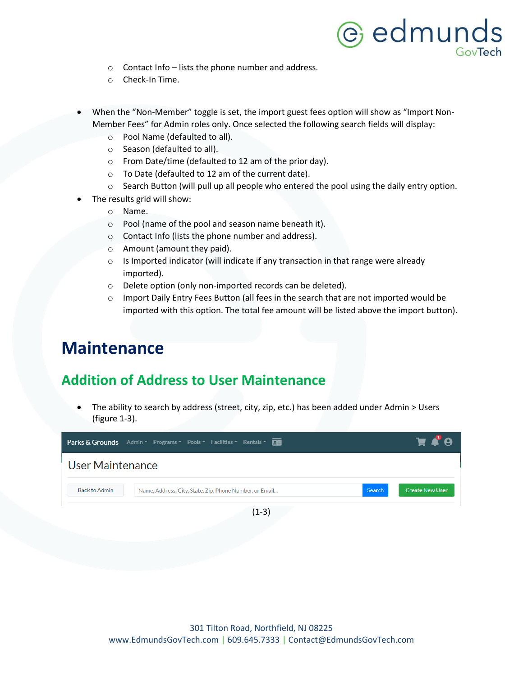- $\circ$  Contact Info lists the phone number and address.
- o Check-In Time.
- When the "Non-Member" toggle is set, the import guest fees option will show as "Import Non-Member Fees" for Admin roles only. Once selected the following search fields will display:
	- o Pool Name (defaulted to all).
	- o Season (defaulted to all).
	- o From Date/time (defaulted to 12 am of the prior day).
	- o To Date (defaulted to 12 am of the current date).
	- o Search Button (will pull up all people who entered the pool using the daily entry option.
- The results grid will show:
	- o Name.
	- o Pool (name of the pool and season name beneath it).
	- o Contact Info (lists the phone number and address).
	- o Amount (amount they paid).
	- o Is Imported indicator (will indicate if any transaction in that range were already imported).
	- o Delete option (only non-imported records can be deleted).
	- $\circ$  Import Daily Entry Fees Button (all fees in the search that are not imported would be imported with this option. The total fee amount will be listed above the import button).

### <span id="page-4-0"></span>**Maintenance**

#### <span id="page-4-1"></span>**Addition of Address to User Maintenance**

• The ability to search by address (street, city, zip, etc.) has been added under Admin > Users (figure 1-3).

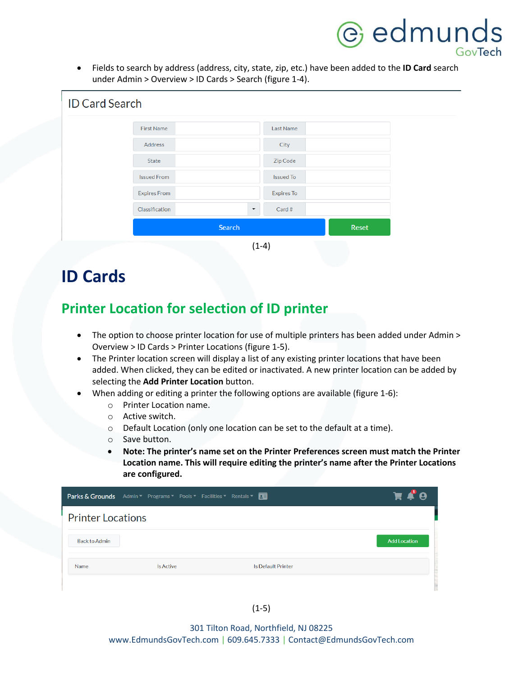• Fields to search by address (address, city, state, zip, etc.) have been added to the **ID Card** search under Admin > Overview > ID Cards > Search (figure 1-4).

| <b>ID Card Search</b> |                     |                      |                   |       |
|-----------------------|---------------------|----------------------|-------------------|-------|
|                       |                     |                      |                   |       |
|                       | First Name          |                      | Last Name         |       |
|                       | Address             |                      | City              |       |
|                       | State               |                      | Zip Code          |       |
|                       | <b>Issued From</b>  |                      | <b>Issued To</b>  |       |
|                       | <b>Expires From</b> |                      | <b>Expires To</b> |       |
|                       | Classification      | $\blacktriangledown$ | Card #            |       |
|                       |                     | Search               |                   | Reset |
|                       |                     | $(1-4)$              |                   |       |

## <span id="page-5-0"></span>**ID Cards**

#### <span id="page-5-1"></span>**Printer Location for selection of ID printer**

- The option to choose printer location for use of multiple printers has been added under Admin > Overview > ID Cards > Printer Locations (figure 1-5).
- The Printer location screen will display a list of any existing printer locations that have been added. When clicked, they can be edited or inactivated. A new printer location can be added by selecting the **Add Printer Location** button.
- When adding or editing a printer the following options are available (figure 1-6):
	- o Printer Location name.
	- o Active switch.
	- o Default Location (only one location can be set to the default at a time).
	- o Save button.
	- **Note: The printer's name set on the Printer Preferences screen must match the Printer Location name. This will require editing the printer's name after the Printer Locations are configured.**

|                          | Parks & Grounds Admin * Programs * Pools * Facilities * Rentals * <b>DE</b> |                           | А                   |
|--------------------------|-----------------------------------------------------------------------------|---------------------------|---------------------|
| <b>Printer Locations</b> |                                                                             |                           |                     |
| <b>Back to Admin</b>     |                                                                             |                           | <b>Add Location</b> |
| Name                     | Is Active                                                                   | <b>Is Default Printer</b> |                     |
|                          |                                                                             |                           |                     |

(1-5)

301 Tilton Road, Northfield, NJ 08225 www.EdmundsGovTech.com | 609.645.7333 | Contact@EdmundsGovTech.com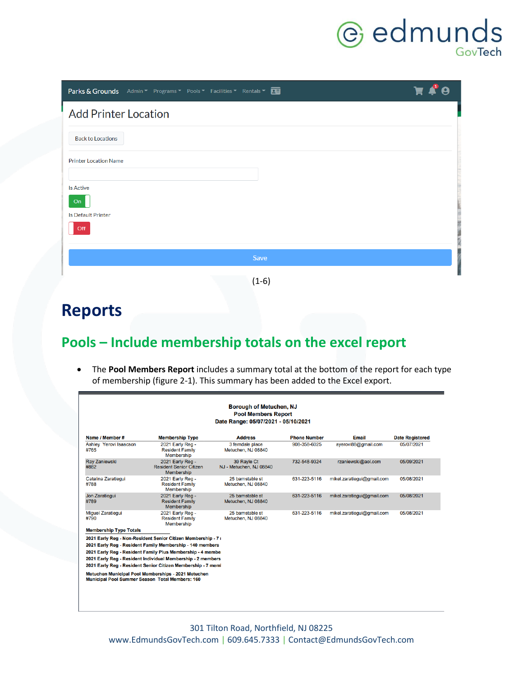# **C** edmunds

| Parks & Grounds Admin v Programs v Pools v Facilities v Rentals v <b>QE</b> | PQ |
|-----------------------------------------------------------------------------|----|
| <b>Add Printer Location</b>                                                 |    |
| <b>Back to Locations</b>                                                    |    |
| <b>Printer Location Name</b>                                                |    |
| <b>Is Active</b>                                                            |    |
| On<br><b>Is Default Printer</b>                                             |    |
| Off                                                                         |    |
| Save                                                                        |    |
| $(1-6)$                                                                     |    |

## <span id="page-6-0"></span>**Reports**

### <span id="page-6-1"></span>**Pools – Include membership totals on the excel report**

• The **Pool Members Report** includes a summary total at the bottom of the report for each type of membership (figure 2-1). This summary has been added to the Excel export.

| Borough of Metuchen, NJ<br><b>Pool Members Report</b><br>Date Range: 05/07/2021 - 05/10/2021 |                                                                                                                          |                                        |                     |                            |                        |  |
|----------------------------------------------------------------------------------------------|--------------------------------------------------------------------------------------------------------------------------|----------------------------------------|---------------------|----------------------------|------------------------|--|
| Name / Member #                                                                              | <b>Membership Type</b>                                                                                                   | <b>Address</b>                         | <b>Phone Number</b> | <b>Email</b>               | <b>Date Registered</b> |  |
| Ashley Yerovi Isaacson<br>#765                                                               | 2021 Early Reg -<br><b>Resident Family</b><br><b>Membership</b>                                                          | 3 ferndale place<br>Metuchen, NJ 08840 | 908-358-6025        | ayerovi88@gmail.com        | 05/07/2021             |  |
| <b>Ray Zaniewski</b><br>#882                                                                 | 2021 Early Reg -<br><b>Resident Senior Citizen</b><br><b>Membership</b>                                                  | 39 Rayle Ct<br>NJ - Metuchen, NJ 08840 | 732-548-9324        | rzaniewski@aol.com         | 05/09/2021             |  |
| Catalina Zaratiegui<br>#788                                                                  | 2021 Early Reg -<br><b>Resident Family</b><br>Membership                                                                 | 25 barnstable st<br>Metuchen, NJ 08840 | 631-223-5116        | mikel.zaratiegui@gmail.com | 05/08/2021             |  |
| Jon Zaratiegui<br>#789                                                                       | 2021 Early Reg -<br><b>Resident Family</b><br>Membership                                                                 | 25 barnstable st<br>Metuchen, NJ 08840 | 631-223-5116        | mikel.zaratiegui@gmail.com | 05/08/2021             |  |
| <b>Miquel Zaratiegui</b><br>#790                                                             | 2021 Early Reg -<br><b>Resident Family</b><br>Membership                                                                 | 25 barnstable st<br>Metuchen, NJ 08840 | 631-223-5116        | mikel.zaratiegui@gmail.com | 05/08/2021             |  |
| <b>Membership Type Totals</b>                                                                |                                                                                                                          |                                        |                     |                            |                        |  |
|                                                                                              | 2021 Early Reg - Non-Resident Senior Citizen Membership - 7 I                                                            |                                        |                     |                            |                        |  |
|                                                                                              | 2021 Early Reg - Resident Family Membership - 140 members<br>2021 Early Reg - Resident Family Plus Membership - 4 member |                                        |                     |                            |                        |  |
|                                                                                              | 2021 Early Reg - Resident Individual Membership - 2 members                                                              |                                        |                     |                            |                        |  |
|                                                                                              | 2021 Early Reg - Resident Senior Citizen Membership - 7 meml                                                             |                                        |                     |                            |                        |  |
| <b>Municipal Pool Summer Season Total Members: 160</b>                                       | Metuchen Municipal Pool Memberships - 2021 Metuchen                                                                      |                                        |                     |                            |                        |  |